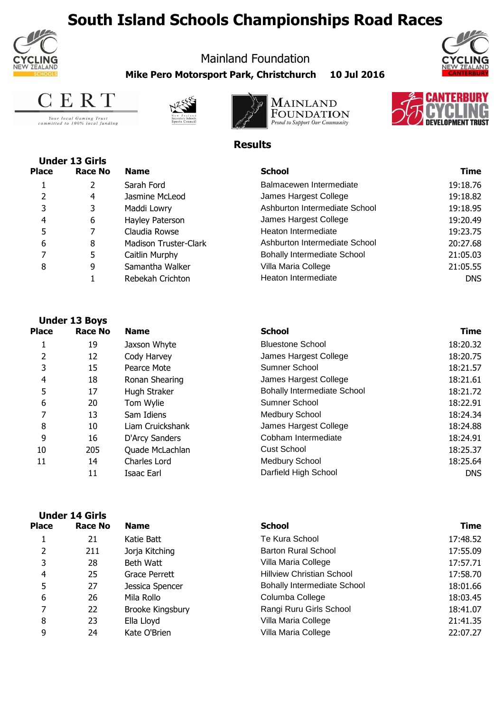## **South Island Schools Championships Road Races**



## Mainland Foundation

**Mike Pero Motorsport Park, Christchurch 10 Jul 2016**





Your local Gaming Trust<br>committed to 100% local funding







## **Results**

| <b>Under 13 Girls</b> |         |                       |                                    |             |
|-----------------------|---------|-----------------------|------------------------------------|-------------|
| <b>Place</b>          | Race No | <b>Name</b>           | <b>School</b>                      | <b>Time</b> |
|                       | 2       | Sarah Ford            | Balmacewen Intermediate            | 19:18.76    |
|                       | 4       | Jasmine McLeod        | James Hargest College              | 19:18.82    |
| 3                     | 3       | Maddi Lowry           | Ashburton Intermediate School      | 19:18.95    |
| 4                     | 6       | Hayley Paterson       | James Hargest College              | 19:20.49    |
|                       |         | Claudia Rowse         | Heaton Intermediate                | 19:23.75    |
| 6                     | 8       | Madison Truster-Clark | Ashburton Intermediate School      | 20:27.68    |
|                       | 5       | Caitlin Murphy        | <b>Bohally Intermediate School</b> | 21:05.03    |
| 8                     | 9       | Samantha Walker       | Villa Maria College                | 21:05.55    |
|                       |         | Rebekah Crichton      | Heaton Intermediate                | <b>DNS</b>  |
|                       |         |                       |                                    |             |

|              | <b>Under 13 Boys</b>  |                  |                                    |            |
|--------------|-----------------------|------------------|------------------------------------|------------|
| <b>Place</b> | Race No               | <b>Name</b>      | <b>School</b>                      | Time       |
| 1            | 19                    | Jaxson Whyte     | <b>Bluestone School</b>            | 18:20.32   |
| 2            | 12                    | Cody Harvey      | James Hargest College              | 18:20.75   |
| 3            | 15                    | Pearce Mote      | Sumner School                      | 18:21.57   |
| 4            | 18                    | Ronan Shearing   | James Hargest College              | 18:21.61   |
| 5            | 17                    | Hugh Straker     | <b>Bohally Intermediate School</b> | 18:21.72   |
| 6            | 20                    | Tom Wylie        | Sumner School                      | 18:22.91   |
| 7            | 13                    | Sam Idiens       | <b>Medbury School</b>              | 18:24.34   |
| 8            | 10                    | Liam Cruickshank | James Hargest College              | 18:24.88   |
| 9            | 16                    | D'Arcy Sanders   | Cobham Intermediate                | 18:24.91   |
| 10           | 205                   | Quade McLachlan  | <b>Cust School</b>                 | 18:25.37   |
| 11           | 14                    | Charles Lord     | <b>Medbury School</b>              | 18:25.64   |
|              | 11                    | Isaac Earl       | Darfield High School               | <b>DNS</b> |
|              | <b>Under 14 Girls</b> |                  |                                    |            |
| <b>Place</b> | <b>Race No</b>        | <b>Name</b>      | <b>School</b>                      | Time       |

|     | <b>Name</b>      | <b>School</b>                      | <b>Time</b> |
|-----|------------------|------------------------------------|-------------|
| 21  | Katie Batt       | Te Kura School                     | 17:48.52    |
| 211 | Jorja Kitching   | <b>Barton Rural School</b>         | 17:55.09    |
| 28  | Beth Watt        | Villa Maria College                | 17:57.71    |
| 25  | Grace Perrett    | <b>Hillview Christian School</b>   | 17:58.70    |
| 27  | Jessica Spencer  | <b>Bohally Intermediate School</b> | 18:01.66    |
| 26  | Mila Rollo       | Columba College                    | 18:03.45    |
| 22  | Brooke Kingsbury | Rangi Ruru Girls School            | 18:41.07    |
| 23  | Ella Lloyd       | Villa Maria College                | 21:41.35    |
| 24  | Kate O'Brien     | Villa Maria College                | 22:07.27    |
|     | <b>Race No</b>   |                                    |             |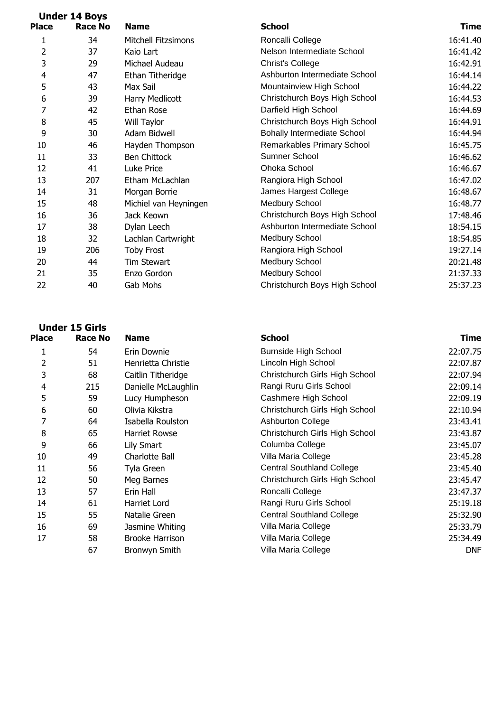| <b>Under 14 Boys</b> |         |                            |                                    |             |
|----------------------|---------|----------------------------|------------------------------------|-------------|
| <b>Place</b>         | Race No | <b>Name</b>                | <b>School</b>                      | <b>Time</b> |
| 1                    | 34      | <b>Mitchell Fitzsimons</b> | Roncalli College                   | 16:41.40    |
| 2                    | 37      | Kaio Lart                  | Nelson Intermediate School         | 16:41.42    |
| 3                    | 29      | Michael Audeau             | <b>Christ's College</b>            | 16:42.91    |
| 4                    | 47      | Ethan Titheridge           | Ashburton Intermediate School      | 16:44.14    |
| 5                    | 43      | Max Sail                   | Mountainview High School           | 16:44.22    |
| 6                    | 39      | Harry Medlicott            | Christchurch Boys High School      | 16:44.53    |
| 7                    | 42      | Ethan Rose                 | Darfield High School               | 16:44.69    |
| 8                    | 45      | Will Taylor                | Christchurch Boys High School      | 16:44.91    |
| 9                    | 30      | Adam Bidwell               | <b>Bohally Intermediate School</b> | 16:44.94    |
| 10                   | 46      | Hayden Thompson            | Remarkables Primary School         | 16:45.75    |
| 11                   | 33      | <b>Ben Chittock</b>        | Sumner School                      | 16:46.62    |
| 12                   | 41      | Luke Price                 | Ohoka School                       | 16:46.67    |
| 13                   | 207     | Etham McLachlan            | Rangiora High School               | 16:47.02    |
| 14                   | 31      | Morgan Borrie              | James Hargest College              | 16:48.67    |
| 15                   | 48      | Michiel van Heyningen      | Medbury School                     | 16:48.77    |
| 16                   | 36      | Jack Keown                 | Christchurch Boys High School      | 17:48.46    |
| 17                   | 38      | Dylan Leech                | Ashburton Intermediate School      | 18:54.15    |
| 18                   | 32      | Lachlan Cartwright         | <b>Medbury School</b>              | 18:54.85    |
| 19                   | 206     | <b>Toby Frost</b>          | Rangiora High School               | 19:27.14    |
| 20                   | 44      | Tim Stewart                | <b>Medbury School</b>              | 20:21.48    |
| 21                   | 35      | Enzo Gordon                | Medbury School                     | 21:37.33    |
| 22                   | 40      | Gab Mohs                   | Christchurch Boys High School      | 25:37.23    |
|                      |         |                            |                                    |             |

| <b>Place</b> | <b>Race No</b> | <b>Name</b>            | <b>School</b>                    | <b>Time</b> |
|--------------|----------------|------------------------|----------------------------------|-------------|
|              | 54             | Erin Downie            | <b>Burnside High School</b>      | 22:07.75    |
| 2            | 51             | Henrietta Christie     | Lincoln High School              | 22:07.87    |
| 3            | 68             | Caitlin Titheridge     | Christchurch Girls High School   | 22:07.94    |
| 4            | 215            | Danielle McLaughlin    | Rangi Ruru Girls School          | 22:09.14    |
| 5            | 59             | Lucy Humpheson         | Cashmere High School             | 22:09.19    |
| 6            | 60             | Olivia Kikstra         | Christchurch Girls High School   | 22:10.94    |
| 7            | 64             | Isabella Roulston      | <b>Ashburton College</b>         | 23:43.41    |
| 8            | 65             | <b>Harriet Rowse</b>   | Christchurch Girls High School   | 23:43.87    |
| 9            | 66             | Lily Smart             | Columba College                  | 23:45.07    |
| 10           | 49             | Charlotte Ball         | Villa Maria College              | 23:45.28    |
| 11           | 56             | Tyla Green             | <b>Central Southland College</b> | 23:45.40    |
| 12           | 50             | Meg Barnes             | Christchurch Girls High School   | 23:45.47    |
| 13           | 57             | Erin Hall              | Roncalli College                 | 23:47.37    |
| 14           | 61             | Harriet Lord           | Rangi Ruru Girls School          | 25:19.18    |
| 15           | 55             | Natalie Green          | <b>Central Southland College</b> | 25:32.90    |
| 16           | 69             | Jasmine Whiting        | Villa Maria College              | 25:33.79    |
| 17           | 58             | <b>Brooke Harrison</b> | Villa Maria College              | 25:34.49    |
|              | 67             | Bronwyn Smith          | Villa Maria College              | <b>DNF</b>  |

**Under 15 Girls**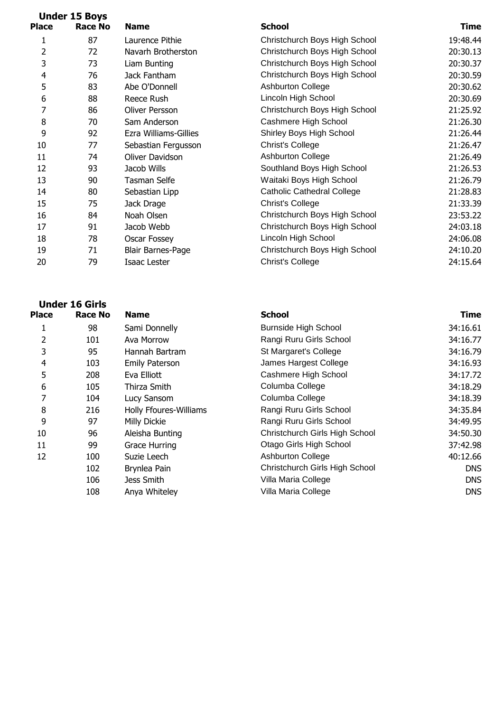| <b>Under 15 Boys</b> |         |                          |                                   |          |
|----------------------|---------|--------------------------|-----------------------------------|----------|
| Place                | Race No | <b>Name</b>              | <b>School</b>                     | Time     |
| 1                    | 87      | Laurence Pithie          | Christchurch Boys High School     | 19:48.44 |
| $\overline{2}$       | 72      | Navarh Brotherston       | Christchurch Boys High School     | 20:30.13 |
| 3                    | 73      | Liam Bunting             | Christchurch Boys High School     | 20:30.37 |
| $\overline{4}$       | 76      | Jack Fantham             | Christchurch Boys High School     | 20:30.59 |
| 5                    | 83      | Abe O'Donnell            | <b>Ashburton College</b>          | 20:30.62 |
| 6                    | 88      | Reece Rush               | Lincoln High School               | 20:30.69 |
| 7                    | 86      | Oliver Persson           | Christchurch Boys High School     | 21:25.92 |
| 8                    | 70      | Sam Anderson             | Cashmere High School              | 21:26.30 |
| 9                    | 92      | Ezra Williams-Gillies    | Shirley Boys High School          | 21:26.44 |
| 10                   | 77      | Sebastian Fergusson      | Christ's College                  | 21:26.47 |
| 11                   | 74      | Oliver Davidson          | <b>Ashburton College</b>          | 21:26.49 |
| 12                   | 93      | Jacob Wills              | Southland Boys High School        | 21:26.53 |
| 13                   | 90      | Tasman Selfe             | Waitaki Boys High School          | 21:26.79 |
| 14                   | 80      | Sebastian Lipp           | <b>Catholic Cathedral College</b> | 21:28.83 |
| 15                   | 75      | Jack Drage               | <b>Christ's College</b>           | 21:33.39 |
| 16                   | 84      | Noah Olsen               | Christchurch Boys High School     | 23:53.22 |
| 17                   | 91      | Jacob Webb               | Christchurch Boys High School     | 24:03.18 |
| 18                   | 78      | Oscar Fossey             | Lincoln High School               | 24:06.08 |
| 19                   | 71      | <b>Blair Barnes-Page</b> | Christchurch Boys High School     | 24:10.20 |
| 20                   | 79      | Isaac Lester             | <b>Christ's College</b>           | 24:15.64 |
|                      |         |                          |                                   |          |

| <b>Under 16 Girls</b> |                |                        |                                |             |
|-----------------------|----------------|------------------------|--------------------------------|-------------|
| <b>Place</b>          | <b>Race No</b> | <b>Name</b>            | <b>School</b>                  | <b>Time</b> |
|                       | 98             | Sami Donnelly          | <b>Burnside High School</b>    | 34:16.61    |
| 2                     | 101            | Ava Morrow             | Rangi Ruru Girls School        | 34:16.77    |
| 3                     | 95             | Hannah Bartram         | St Margaret's College          | 34:16.79    |
| 4                     | 103            | <b>Emily Paterson</b>  | James Hargest College          | 34:16.93    |
| 5                     | 208            | Eva Elliott            | Cashmere High School           | 34:17.72    |
| 6                     | 105            | Thirza Smith           | Columba College                | 34:18.29    |
| 7                     | 104            | Lucy Sansom            | Columba College                | 34:18.39    |
| 8                     | 216            | Holly Ffoures-Williams | Rangi Ruru Girls School        | 34:35.84    |
| 9                     | 97             | Milly Dickie           | Rangi Ruru Girls School        | 34:49.95    |
| 10                    | 96             | Aleisha Bunting        | Christchurch Girls High School | 34:50.30    |
| 11                    | 99             | Grace Hurring          | Otago Girls High School        | 37:42.98    |
| 12                    | 100            | Suzie Leech            | <b>Ashburton College</b>       | 40:12.66    |
|                       | 102            | Brynlea Pain           | Christchurch Girls High School | <b>DNS</b>  |
|                       | 106            | Jess Smith             | Villa Maria College            | <b>DNS</b>  |
|                       | 108            | Anya Whiteley          | Villa Maria College            | <b>DNS</b>  |
|                       |                |                        |                                |             |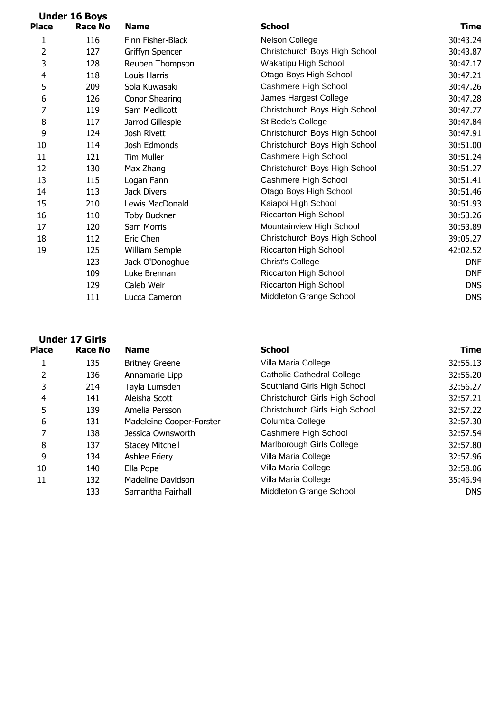|                          | <b>Under 16 Boys</b> |                     |                               |             |
|--------------------------|----------------------|---------------------|-------------------------------|-------------|
| <b>Place</b>             | <b>Race No</b>       | <b>Name</b>         | <b>School</b>                 | <b>Time</b> |
| 1                        | 116                  | Finn Fisher-Black   | Nelson College                | 30:43.24    |
| 2                        | 127                  | Griffyn Spencer     | Christchurch Boys High School | 30:43.87    |
| 3                        | 128                  | Reuben Thompson     | Wakatipu High School          | 30:47.17    |
| $\overline{\mathcal{A}}$ | 118                  | Louis Harris        | Otago Boys High School        | 30:47.21    |
| 5                        | 209                  | Sola Kuwasaki       | Cashmere High School          | 30:47.26    |
| 6                        | 126                  | Conor Shearing      | James Hargest College         | 30:47.28    |
| 7                        | 119                  | Sam Medlicott       | Christchurch Boys High School | 30:47.77    |
| 8                        | 117                  | Jarrod Gillespie    | St Bede's College             | 30:47.84    |
| 9                        | 124                  | Josh Rivett         | Christchurch Boys High School | 30:47.91    |
| 10                       | 114                  | Josh Edmonds        | Christchurch Boys High School | 30:51.00    |
| 11                       | 121                  | <b>Tim Muller</b>   | Cashmere High School          | 30:51.24    |
| 12                       | 130                  | Max Zhang           | Christchurch Boys High School | 30:51.27    |
| 13                       | 115                  | Logan Fann          | Cashmere High School          | 30:51.41    |
| 14                       | 113                  | Jack Divers         | Otago Boys High School        | 30:51.46    |
| 15                       | 210                  | Lewis MacDonald     | Kaiapoi High School           | 30:51.93    |
| 16                       | 110                  | <b>Toby Buckner</b> | <b>Riccarton High School</b>  | 30:53.26    |
| 17                       | 120                  | Sam Morris          | Mountainview High School      | 30:53.89    |
| 18                       | 112                  | Eric Chen           | Christchurch Boys High School | 39:05.27    |
| 19                       | 125                  | William Semple      | <b>Riccarton High School</b>  | 42:02.52    |
|                          | 123                  | Jack O'Donoghue     | <b>Christ's College</b>       | <b>DNF</b>  |
|                          | 109                  | Luke Brennan        | Riccarton High School         | <b>DNF</b>  |
|                          | 129                  | Caleb Weir          | <b>Riccarton High School</b>  | <b>DNS</b>  |
|                          | 111                  | Lucca Cameron       | Middleton Grange School       | <b>DNS</b>  |
|                          |                      |                     |                               |             |

|              | <b>Under 17 Girls</b> |                          |                |
|--------------|-----------------------|--------------------------|----------------|
| <b>Place</b> | <b>Race No</b>        | <b>Name</b>              | <b>School</b>  |
| 1            | 135                   | <b>Britney Greene</b>    | Villa Ma       |
| 2            | 136                   | Annamarie Lipp           | Catholio       |
| 3            | 214                   | Tayla Lumsden            | Southla        |
| 4            | 141                   | Aleisha Scott            | Christch       |
| 5            | 139                   | Amelia Persson           | Christch       |
| 6            | 131                   | Madeleine Cooper-Forster | Columb         |
| 7            | 138                   | Jessica Ownsworth        | Cashm          |
| 8            | 137                   | <b>Stacey Mitchell</b>   | Marlbor        |
| 9            | 134                   | <b>Ashlee Friery</b>     | Villa Ma       |
| 10           | 140                   | Ella Pope                | Villa Ma       |
| 11           | 132                   | Madeline Davidson        | Villa Ma       |
|              | 133                   | Samantha Fairhall        | <b>Middlet</b> |
|              |                       |                          |                |

| <b>Place</b> | <b>Race No</b> | <b>Name</b>              | <b>School</b>                     | <b>Time</b> |
|--------------|----------------|--------------------------|-----------------------------------|-------------|
|              | 135            | <b>Britney Greene</b>    | Villa Maria College               | 32:56.13    |
| 2            | 136            | Annamarie Lipp           | <b>Catholic Cathedral College</b> | 32:56.20    |
| 3            | 214            | Tayla Lumsden            | Southland Girls High School       | 32:56.27    |
| 4            | 141            | Aleisha Scott            | Christchurch Girls High School    | 32:57.21    |
| 5            | 139            | Amelia Persson           | Christchurch Girls High School    | 32:57.22    |
| 6            | 131            | Madeleine Cooper-Forster | Columba College                   | 32:57.30    |
|              | 138            | Jessica Ownsworth        | Cashmere High School              | 32:57.54    |
| 8            | 137            | <b>Stacey Mitchell</b>   | Marlborough Girls College         | 32:57.80    |
| 9            | 134            | Ashlee Friery            | Villa Maria College               | 32:57.96    |
| 10           | 140            | Ella Pope                | Villa Maria College               | 32:58.06    |
| 11           | 132            | Madeline Davidson        | Villa Maria College               | 35:46.94    |
|              | 133            | Samantha Fairhall        | Middleton Grange School           | DNS         |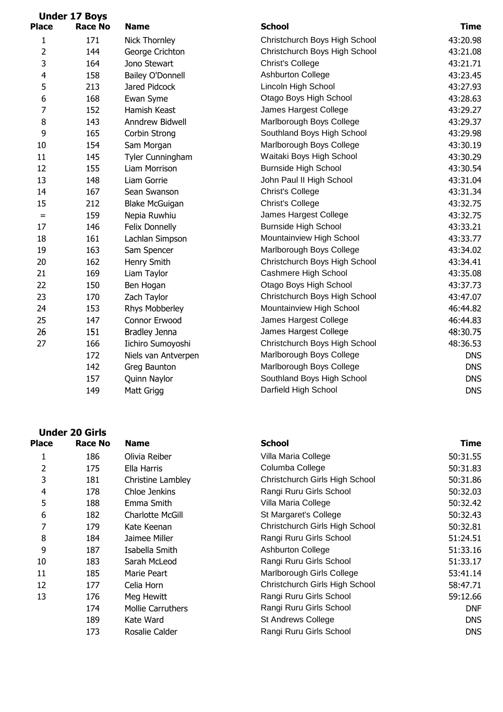|                         | <b>Under 17 Boys</b> |                         |                               |             |
|-------------------------|----------------------|-------------------------|-------------------------------|-------------|
| <b>Place</b>            | <b>Race No</b>       | <b>Name</b>             | <b>School</b>                 | <b>Time</b> |
| 1                       | 171                  | Nick Thornley           | Christchurch Boys High School | 43:20.98    |
| $\overline{2}$          | 144                  | George Crichton         | Christchurch Boys High School | 43:21.08    |
| 3                       | 164                  | Jono Stewart            | <b>Christ's College</b>       | 43:21.71    |
| $\overline{\mathbf{4}}$ | 158                  | <b>Bailey O'Donnell</b> | <b>Ashburton College</b>      | 43:23.45    |
| 5                       | 213                  | Jared Pidcock           | Lincoln High School           | 43:27.93    |
| 6                       | 168                  | Ewan Syme               | Otago Boys High School        | 43:28.63    |
| $\overline{7}$          | 152                  | Hamish Keast            | James Hargest College         | 43:29.27    |
| 8                       | 143                  | Anndrew Bidwell         | Marlborough Boys College      | 43:29.37    |
| 9                       | 165                  | Corbin Strong           | Southland Boys High School    | 43:29.98    |
| 10                      | 154                  | Sam Morgan              | Marlborough Boys College      | 43:30.19    |
| 11                      | 145                  | Tyler Cunningham        | Waitaki Boys High School      | 43:30.29    |
| 12                      | 155                  | Liam Morrison           | <b>Burnside High School</b>   | 43:30.54    |
| 13                      | 148                  | Liam Gorrie             | John Paul II High School      | 43:31.04    |
| 14                      | 167                  | Sean Swanson            | <b>Christ's College</b>       | 43:31.34    |
| 15                      | 212                  | <b>Blake McGuigan</b>   | <b>Christ's College</b>       | 43:32.75    |
| $=$                     | 159                  | Nepia Ruwhiu            | James Hargest College         | 43:32.75    |
| 17                      | 146                  | Felix Donnelly          | <b>Burnside High School</b>   | 43:33.21    |
| 18                      | 161                  | Lachlan Simpson         | Mountainview High School      | 43:33.77    |
| 19                      | 163                  | Sam Spencer             | Marlborough Boys College      | 43:34.02    |
| 20                      | 162                  | Henry Smith             | Christchurch Boys High School | 43:34.41    |
| 21                      | 169                  | Liam Taylor             | Cashmere High School          | 43:35.08    |
| 22                      | 150                  | Ben Hogan               | Otago Boys High School        | 43:37.73    |
| 23                      | 170                  | Zach Taylor             | Christchurch Boys High School | 43:47.07    |
| 24                      | 153                  | Rhys Mobberley          | Mountainview High School      | 46:44.82    |
| 25                      | 147                  | Connor Erwood           | James Hargest College         | 46:44.83    |
| 26                      | 151                  | Bradley Jenna           | James Hargest College         | 48:30.75    |
| 27                      | 166                  | Iichiro Sumoyoshi       | Christchurch Boys High School | 48:36.53    |
|                         | 172                  | Niels van Antverpen     | Marlborough Boys College      | <b>DNS</b>  |
|                         | 142                  | Greg Baunton            | Marlborough Boys College      | <b>DNS</b>  |
|                         | 157                  | Quinn Naylor            | Southland Boys High School    | <b>DNS</b>  |
|                         | 149                  | Matt Grigg              | Darfield High School          | <b>DNS</b>  |
|                         |                      |                         |                               |             |

|              | <b>Under 20 Girls</b> |                          |                                |            |
|--------------|-----------------------|--------------------------|--------------------------------|------------|
| <b>Place</b> | Race No               | <b>Name</b>              | <b>School</b>                  | Time       |
| 1            | 186                   | Olivia Reiber            | Villa Maria College            | 50:31.55   |
| 2            | 175                   | Ella Harris              | Columba College                | 50:31.83   |
| 3            | 181                   | Christine Lambley        | Christchurch Girls High School | 50:31.86   |
| 4            | 178                   | Chloe Jenkins            | Rangi Ruru Girls School        | 50:32.03   |
| 5            | 188                   | Emma Smith               | Villa Maria College            | 50:32.42   |
| 6            | 182                   | Charlotte McGill         | St Margaret's College          | 50:32.43   |
| 7            | 179                   | Kate Keenan              | Christchurch Girls High School | 50:32.81   |
| 8            | 184                   | Jaimee Miller            | Rangi Ruru Girls School        | 51:24.51   |
| 9            | 187                   | Isabella Smith           | <b>Ashburton College</b>       | 51:33.16   |
| 10           | 183                   | Sarah McLeod             | Rangi Ruru Girls School        | 51:33.17   |
| 11           | 185                   | Marie Peart              | Marlborough Girls College      | 53:41.14   |
| 12           | 177                   | Celia Horn               | Christchurch Girls High School | 58:47.71   |
| 13           | 176                   | Meg Hewitt               | Rangi Ruru Girls School        | 59:12.66   |
|              | 174                   | <b>Mollie Carruthers</b> | Rangi Ruru Girls School        | <b>DNF</b> |
|              | 189                   | Kate Ward                | <b>St Andrews College</b>      | <b>DNS</b> |
|              | 173                   | Rosalie Calder           | Rangi Ruru Girls School        | <b>DNS</b> |
|              |                       |                          |                                |            |

| <b>Name</b>                            | <b>School</b>                  | <b>Time</b> |  |
|----------------------------------------|--------------------------------|-------------|--|
| Olivia Reiber                          | Villa Maria College            |             |  |
| Ella Harris                            | Columba College                | 50:31.83    |  |
| Christine Lambley                      | Christchurch Girls High School | 50:31.86    |  |
| Chloe Jenkins                          | Rangi Ruru Girls School        | 50:32.03    |  |
| Emma Smith                             | Villa Maria College            | 50:32.42    |  |
| Charlotte McGill                       | St Margaret's College          | 50:32.43    |  |
| Kate Keenan                            | Christchurch Girls High School | 50:32.81    |  |
| Jaimee Miller                          | Rangi Ruru Girls School        | 51:24.51    |  |
| Isabella Smith                         | <b>Ashburton College</b>       | 51:33.16    |  |
| Sarah McLeod                           | Rangi Ruru Girls School        | 51:33.17    |  |
| Marie Peart                            | Marlborough Girls College      | 53:41.14    |  |
| Celia Horn                             | Christchurch Girls High School | 58:47.71    |  |
| Meg Hewitt                             | Rangi Ruru Girls School        | 59:12.66    |  |
| Mollie Carruthers                      | Rangi Ruru Girls School        | <b>DNF</b>  |  |
| <b>St Andrews College</b><br>Kate Ward |                                | <b>DNS</b>  |  |
| Rosalie Calder                         | Rangi Ruru Girls School        | <b>DNS</b>  |  |